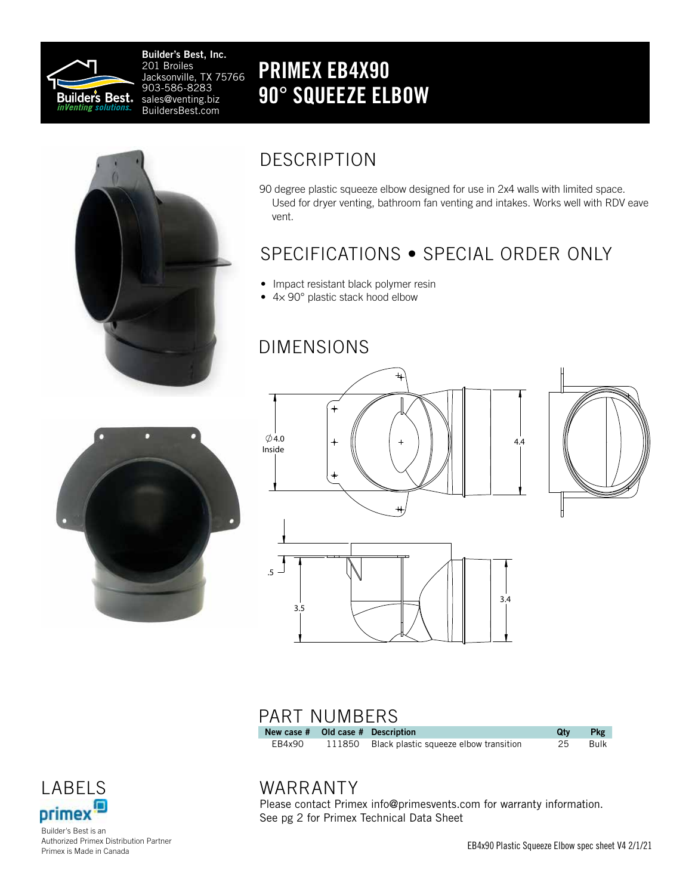

Builder's Best, Inc. 201 Broiles Jacksonville, TX 75766 903-586-8283 sales@venting.biz BuildersBest.com

## PRIMEX EB4X90 90° SQUEEZE ELBOW



## DESCRIPTION

90 degree plastic squeeze elbow designed for use in 2x4 walls with limited space. Used for dryer venting, bathroom fan venting and intakes. Works well with RDV eave vent.

## SPECIFICATIONS • SPECIAL ORDER ONLY

- Impact resistant black polymer resin
- 4× 90° plastic stack hood elbow

### DIMENSIONS





## PART NUMBERS

| New case # Old case # Description |                                               | Qtv | <b>Pkg</b> |
|-----------------------------------|-----------------------------------------------|-----|------------|
| EB4x90                            | 111850 Black plastic squeeze elbow transition | 25  | Bulk       |



Builder's Best is an Authorized Primex Distribution Partner Primex is Made in Canada

### WARRANTY

Please contact Primex info@primesvents.com for warranty information. See pg 2 for Primex Technical Data Sheet